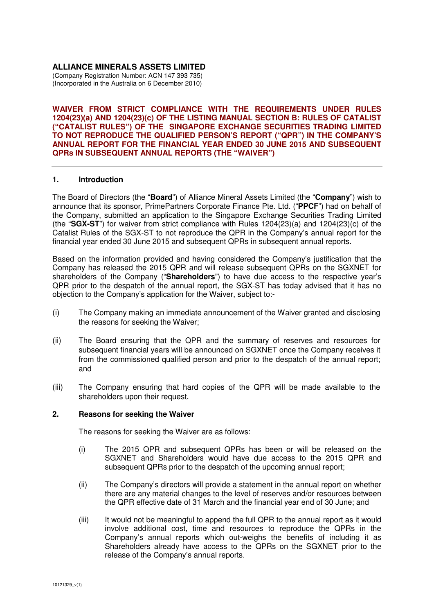## **ALLIANCE MINERALS ASSETS LIMITED**

(Company Registration Number: ACN 147 393 735) (Incorporated in the Australia on 6 December 2010)

**WAIVER FROM STRICT COMPLIANCE WITH THE REQUIREMENTS UNDER RULES 1204(23)(a) AND 1204(23)(c) OF THE LISTING MANUAL SECTION B: RULES OF CATALIST ("CATALIST RULES") OF THE SINGAPORE EXCHANGE SECURITIES TRADING LIMITED TO NOT REPRODUCE THE QUALIFIED PERSON'S REPORT ("QPR") IN THE COMPANY'S ANNUAL REPORT FOR THE FINANCIAL YEAR ENDED 30 JUNE 2015 AND SUBSEQUENT QPRs IN SUBSEQUENT ANNUAL REPORTS (THE "WAIVER")** 

## **1. Introduction**

The Board of Directors (the "**Board**") of Alliance Mineral Assets Limited (the "**Company**") wish to announce that its sponsor, PrimePartners Corporate Finance Pte. Ltd. ("**PPCF**") had on behalf of the Company, submitted an application to the Singapore Exchange Securities Trading Limited (the "**SGX-ST**") for waiver from strict compliance with Rules 1204(23)(a) and 1204(23)(c) of the Catalist Rules of the SGX-ST to not reproduce the QPR in the Company's annual report for the financial year ended 30 June 2015 and subsequent QPRs in subsequent annual reports.

Based on the information provided and having considered the Company's justification that the Company has released the 2015 QPR and will release subsequent QPRs on the SGXNET for shareholders of the Company ("**Shareholders**") to have due access to the respective year's QPR prior to the despatch of the annual report, the SGX-ST has today advised that it has no objection to the Company's application for the Waiver, subject to:-

- (i) The Company making an immediate announcement of the Waiver granted and disclosing the reasons for seeking the Waiver;
- (ii) The Board ensuring that the QPR and the summary of reserves and resources for subsequent financial years will be announced on SGXNET once the Company receives it from the commissioned qualified person and prior to the despatch of the annual report; and
- (iii) The Company ensuring that hard copies of the QPR will be made available to the shareholders upon their request.

## **2. Reasons for seeking the Waiver**

The reasons for seeking the Waiver are as follows:

- (i) The 2015 QPR and subsequent QPRs has been or will be released on the SGXNET and Shareholders would have due access to the 2015 QPR and subsequent QPRs prior to the despatch of the upcoming annual report;
- (ii) The Company's directors will provide a statement in the annual report on whether there are any material changes to the level of reserves and/or resources between the QPR effective date of 31 March and the financial year end of 30 June; and
- (iii) It would not be meaningful to append the full QPR to the annual report as it would involve additional cost, time and resources to reproduce the QPRs in the Company's annual reports which out-weighs the benefits of including it as Shareholders already have access to the QPRs on the SGXNET prior to the release of the Company's annual reports.